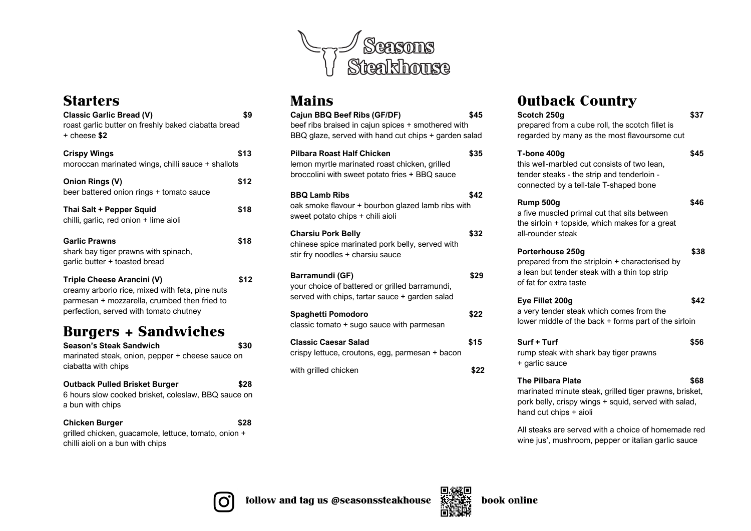

### **Starters**

| <b>Classic Garlic Bread (V)</b><br>roast garlic butter on freshly baked ciabatta bread<br>$+$ cheese \$2                                                                | \$9  |
|-------------------------------------------------------------------------------------------------------------------------------------------------------------------------|------|
| <b>Crispy Wings</b><br>moroccan marinated wings, chilli sauce + shallots                                                                                                | \$13 |
| <b>Onion Rings (V)</b><br>beer battered onion rings + tomato sauce                                                                                                      | \$12 |
| Thai Salt + Pepper Squid<br>chilli, garlic, red onion + lime aioli                                                                                                      | \$18 |
| <b>Garlic Prawns</b><br>shark bay tiger prawns with spinach,<br>garlic butter + toasted bread                                                                           | \$18 |
| Triple Cheese Arancini (V)<br>creamy arborio rice, mixed with feta, pine nuts<br>parmesan + mozzarella, crumbed then fried to<br>perfection, served with tomato chutney | \$12 |
| <b>Burgers + Sandwiches</b>                                                                                                                                             |      |
| <b>Season's Steak Sandwich</b><br>marinated steak, onion, pepper + cheese sauce on<br>ciabatta with chips                                                               | \$30 |
| <b>Outback Pulled Brisket Burger</b>                                                                                                                                    | \$28 |

6 hours slow cooked brisket, coleslaw, BBQ sauce on a bun with chips

**Chicken Burger \$28** grilled chicken, guacamole, lettuce, tomato, onion + chilli aioli on a bun with chips

### Mains

| Cajun BBQ Beef Ribs (GF/DF)<br>beef ribs braised in cajun spices + smothered with<br>BBQ glaze, served with hand cut chips + garden salad | \$45 |
|-------------------------------------------------------------------------------------------------------------------------------------------|------|
| <b>Pilbara Roast Half Chicken</b><br>lemon myrtle marinated roast chicken, grilled<br>broccolini with sweet potato fries + BBQ sauce      | \$35 |
| <b>BBQ Lamb Ribs</b><br>oak smoke flavour + bourbon glazed lamb ribs with<br>sweet potato chips + chili aioli                             | \$42 |
| <b>Charsiu Pork Belly</b><br>chinese spice marinated pork belly, served with<br>stir fry noodles + charsiu sauce                          | \$32 |
| Barramundi (GF)<br>your choice of battered or grilled barramundi,<br>served with chips, tartar sauce + garden salad                       | \$29 |
| Spaghetti Pomodoro<br>classic tomato + sugo sauce with parmesan                                                                           | \$22 |
| <b>Classic Caesar Salad</b><br>crispy lettuce, croutons, egg, parmesan + bacon                                                            | \$15 |
| with grilled chicken                                                                                                                      | \$22 |
|                                                                                                                                           |      |

# Outback Country

| VUIDACK COUIIII Y                                                                                                                                                    |      |
|----------------------------------------------------------------------------------------------------------------------------------------------------------------------|------|
| Scotch 250g<br>prepared from a cube roll, the scotch fillet is<br>regarded by many as the most flavoursome cut                                                       | \$37 |
| T-bone 400g<br>this well-marbled cut consists of two lean,<br>tender steaks - the strip and tenderloin -<br>connected by a tell-tale T-shaped bone                   | \$45 |
| Rump 500q<br>a five muscled primal cut that sits between<br>the sirloin + topside, which makes for a great<br>all-rounder steak                                      | \$46 |
| Porterhouse 250g<br>prepared from the striploin + characterised by<br>a lean but tender steak with a thin top strip<br>of fat for extra taste                        | \$38 |
| Eye Fillet 200g<br>a very tender steak which comes from the<br>lower middle of the back + forms part of the sirloin                                                  | \$42 |
| Surf + Turf<br>rump steak with shark bay tiger prawns<br>+ garlic sauce                                                                                              | \$56 |
| <b>The Pilbara Plate</b><br>marinated minute steak, grilled tiger prawns, brisket,<br>pork belly, crispy wings + squid, served with salad,<br>hand cut chips + aioli | \$68 |
|                                                                                                                                                                      |      |

All steaks are served with a choice of homemade red wine jus', mushroom, pepper or italian garlic sauce